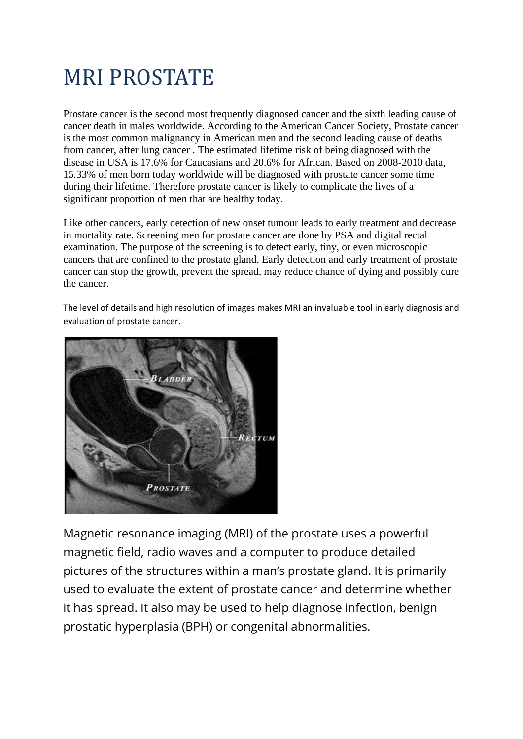# MRI PROSTATE

Prostate cancer is the second most frequently diagnosed cancer and the sixth leading cause of cancer death in males worldwide. According to the American Cancer Society, Prostate cancer is the most common malignancy in American men and the second leading cause of deaths from cancer, after lung cancer . The estimated lifetime risk of being diagnosed with the disease in USA is 17.6% for Caucasians and 20.6% for African. Based on 2008-2010 data, 15.33% of men born today worldwide will be diagnosed with prostate cancer some time during their lifetime. Therefore prostate cancer is likely to complicate the lives of a significant proportion of men that are healthy today.

Like other cancers, early detection of new onset tumour leads to early treatment and decrease in mortality rate. Screening men for prostate cancer are done by PSA and digital rectal examination. The purpose of the screening is to detect early, tiny, or even microscopic cancers that are confined to the prostate gland. Early detection and early treatment of prostate cancer can stop the growth, prevent the spread, may reduce chance of dying and possibly cure the cancer.

The level of details and high resolution of images makes MRI an invaluable tool in early diagnosis and evaluation of prostate cancer.



Magnetic resonance imaging (MRI) of the prostate uses a powerful magnetic field, radio waves and a computer to produce detailed pictures of the structures within a man's prostate gland. It is primarily used to evaluate the extent of prostate cancer and determine whether it has spread. It also may be used to help diagnose infection, benign prostatic hyperplasia (BPH) or congenital abnormalities.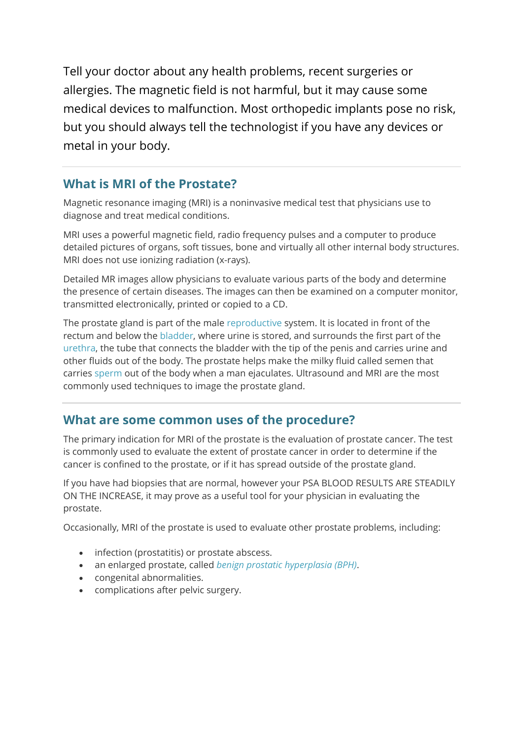Tell your doctor about any health problems, recent surgeries or allergies. The magnetic field is not harmful, but it may cause some medical devices to malfunction. Most orthopedic implants pose no risk, but you should always tell the technologist if you have any devices or metal in your body.

### **What is MRI of the Prostate?**

Magnetic resonance imaging (MRI) is a noninvasive medical test that physicians use to diagnose and treat medical conditions.

MRI uses a powerful magnetic field, radio frequency pulses and a computer to produce detailed pictures of organs, soft tissues, bone and virtually all other internal body structures. MRI does not use ionizing radiation (x-rays).

Detailed MR images allow physicians to evaluate various parts of the body and determine the presence of certain diseases. The images can then be examined on a computer monitor, transmitted electronically, printed or copied to a CD.

The prostate gland is part of the male [reproductive](http://www.radiologyinfo.org/en/glossary/glossary.cfm?gid=543) system. It is located in front of the rectum and below the [bladder,](http://www.radiologyinfo.org/en/glossary/glossary.cfm?gid=582) where urine is stored, and surrounds the first part of the [urethra,](http://www.radiologyinfo.org/en/glossary/glossary.cfm?gid=333) the tube that connects the bladder with the tip of the penis and carries urine and other fluids out of the body. The prostate helps make the milky fluid called semen that carries [sperm](http://www.radiologyinfo.org/en/glossary/glossary.cfm?gid=545) out of the body when a man ejaculates. Ultrasound and MRI are the most commonly used techniques to image the prostate gland.

#### **What are some common uses of the procedure?**

The primary indication for MRI of the prostate is the evaluation of prostate cancer. The test is commonly used to evaluate the extent of prostate cancer in order to determine if the cancer is confined to the prostate, or if it has spread outside of the prostate gland.

If you have had biopsies that are normal, however your PSA BLOOD RESULTS ARE STEADILY ON THE INCREASE, it may prove as a useful tool for your physician in evaluating the prostate.

Occasionally, MRI of the prostate is used to evaluate other prostate problems, including:

- infection (prostatitis) or prostate abscess.
- an enlarged prostate, called *[benign prostatic hyperplasia \(BPH\)](http://www.radiologyinfo.org/en/info.cfm?pg=bph)*.
- congenital abnormalities.
- complications after pelvic surgery.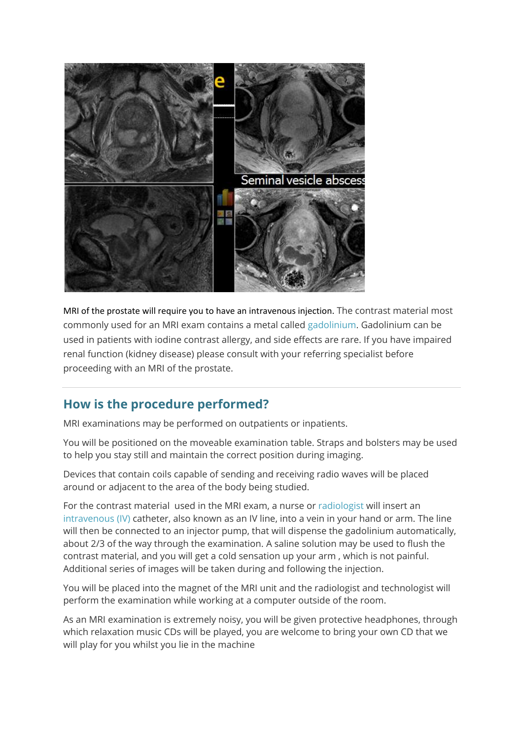

MRI of the prostate will require you to have an intravenous injection. The contrast material most commonly used for an MRI exam contains a metal called [gadolinium.](http://www.radiologyinfo.org/en/glossary/glossary.cfm?gid=121) Gadolinium can be used in patients with iodine contrast allergy, and side effects are rare. If you have impaired renal function (kidney disease) please consult with your referring specialist before proceeding with an MRI of the prostate.

# **How is the procedure performed?**

MRI examinations may be performed on outpatients or inpatients.

You will be positioned on the moveable examination table. Straps and bolsters may be used to help you stay still and maintain the correct position during imaging.

Devices that contain coils capable of sending and receiving radio waves will be placed around or adjacent to the area of the body being studied.

For the contrast material used in the MRI exam, a nurse or [radiologist](http://www.radiologyinfo.org/en/glossary/glossary.cfm?gid=18) will insert an [intravenous \(IV\)](http://www.radiologyinfo.org/en/glossary/glossary.cfm?gid=328) catheter, also known as an IV line, into a vein in your hand or arm. The line will then be connected to an injector pump, that will dispense the gadolinium automatically, about 2/3 of the way through the examination. A saline solution may be used to flush the contrast material, and you will get a cold sensation up your arm , which is not painful. Additional series of images will be taken during and following the injection.

You will be placed into the magnet of the MRI unit and the radiologist and technologist will perform the examination while working at a computer outside of the room.

As an MRI examination is extremely noisy, you will be given protective headphones, through which relaxation music CDs will be played, you are welcome to bring your own CD that we will play for you whilst you lie in the machine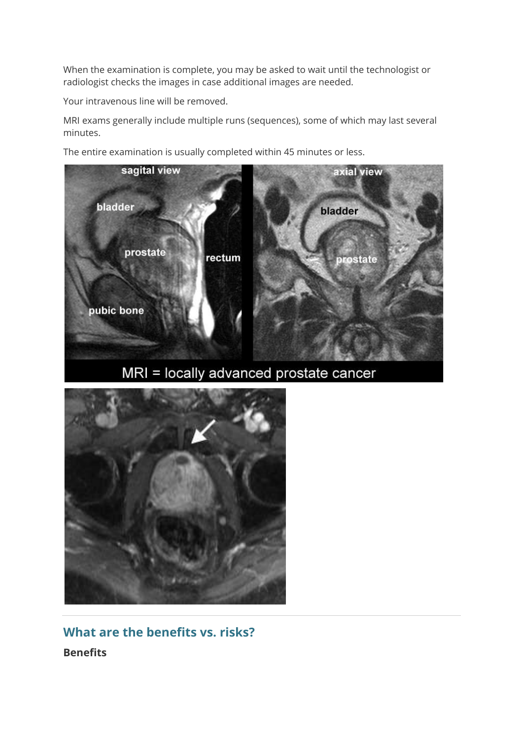When the examination is complete, you may be asked to wait until the technologist or radiologist checks the images in case additional images are needed.

Your intravenous line will be removed.

MRI exams generally include multiple runs (sequences), some of which may last several minutes.

The entire examination is usually completed within 45 minutes or less.



MRI = locally advanced prostate cancer



**What are the benefits vs. risks? Benefits**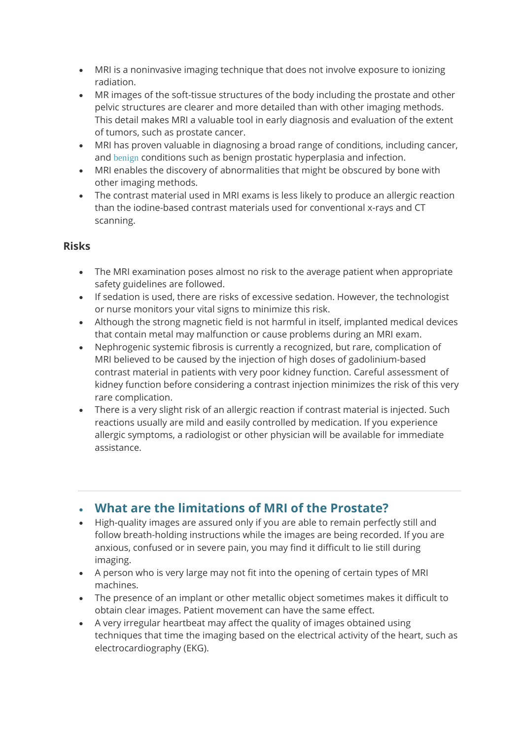- MRI is a noninvasive imaging technique that does not involve exposure to ionizing radiation.
- MR images of the soft-tissue structures of the body including the prostate and other pelvic structures are clearer and more detailed than with other imaging methods. This detail makes MRI a valuable tool in early diagnosis and evaluation of the extent of tumors, such as prostate cancer.
- MRI has proven valuable in diagnosing a broad range of conditions, including cancer, and [benign](http://www.radiologyinfo.org/en/glossary/glossary.cfm?gid=52) conditions such as benign prostatic hyperplasia and infection.
- MRI enables the discovery of abnormalities that might be obscured by bone with other imaging methods.
- The contrast material used in MRI exams is less likely to produce an allergic reaction than the iodine-based contrast materials used for conventional x-rays and CT scanning.

#### **Risks**

- The MRI examination poses almost no risk to the average patient when appropriate safety guidelines are followed.
- If sedation is used, there are risks of excessive sedation. However, the technologist or nurse monitors your vital signs to minimize this risk.
- Although the strong magnetic field is not harmful in itself, implanted medical devices that contain metal may malfunction or cause problems during an MRI exam.
- Nephrogenic systemic fibrosis is currently a recognized, but rare, complication of MRI believed to be caused by the injection of high doses of gadolinium-based contrast material in patients with very poor kidney function. Careful assessment of kidney function before considering a contrast injection minimizes the risk of this very rare complication.
- There is a very slight risk of an allergic reaction if contrast material is injected. Such reactions usually are mild and easily controlled by medication. If you experience allergic symptoms, a radiologist or other physician will be available for immediate assistance.

# • **What are the limitations of MRI of the Prostate?**

- High-quality images are assured only if you are able to remain perfectly still and follow breath-holding instructions while the images are being recorded. If you are anxious, confused or in severe pain, you may find it difficult to lie still during imaging.
- A person who is very large may not fit into the opening of certain types of MRI machines.
- The presence of an implant or other metallic object sometimes makes it difficult to obtain clear images. Patient movement can have the same effect.
- A very irregular heartbeat may affect the quality of images obtained using techniques that time the imaging based on the electrical activity of the heart, such as electrocardiography (EKG).